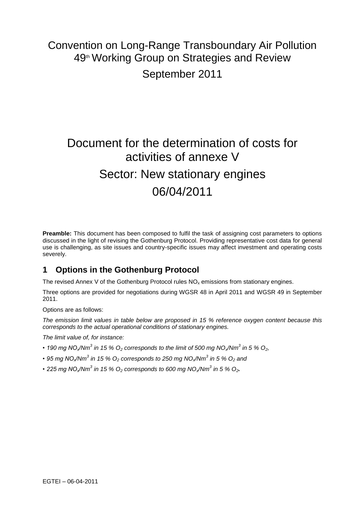## Convention on Long-Range Transboundary Air Pollution 49<sup>th</sup> Working Group on Strategies and Review September 2011

# Document for the determination of costs for activities of annexe V Sector: New stationary engines 06/04/2011

**Preamble:** This document has been composed to fulfil the task of assigning cost parameters to options discussed in the light of revising the Gothenburg Protocol. Providing representative cost data for general use is challenging, as site issues and country-specific issues may affect investment and operating costs severely.

## **1 Options in the Gothenburg Protocol**

The revised Annex V of the Gothenburg Protocol rules  $NO<sub>x</sub>$  emissions from stationary engines.

Three options are provided for negotiations during WGSR 48 in April 2011 and WGSR 49 in September 2011.

Options are as follows:

*The emission limit values in table below are proposed in 15 % reference oxygen content because this corresponds to the actual operational conditions of stationary engines.* 

*The limit value of, for instance:*

- *190 mg NOx/Nm<sup>3</sup> in 15 % O<sup>2</sup> corresponds to the limit of 500 mg NOx/Nm<sup>3</sup> in 5 % O2,*
- *95 mg NOx/Nm<sup>3</sup> in 15 % O<sup>2</sup> corresponds to 250 mg NOx/Nm<sup>3</sup> in 5 % O<sup>2</sup> and*
- *225 mg NOx/Nm<sup>3</sup> in 15 % O<sup>2</sup> corresponds to 600 mg NOx/Nm<sup>3</sup> in 5 % O2.*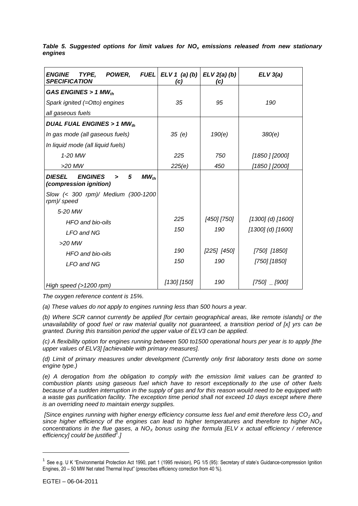| <b>ENGINE</b><br>TYPE,<br>POWER,<br><b>FUEL</b><br><b>SPECIFICATION</b>          | ELV 1 (a) (b)<br>(c) | $ELV2(a)$ $(b)$<br>(c) | ELV 3(a)              |
|----------------------------------------------------------------------------------|----------------------|------------------------|-----------------------|
| GAS ENGINES > 1 MW $_{th}$                                                       |                      |                        |                       |
| Spark ignited (=Otto) engines                                                    | 35                   | 95                     | 190                   |
| all gaseous fuels                                                                |                      |                        |                       |
| DUAL FUAL ENGINES > 1 MW $_{th}$                                                 |                      |                        |                       |
| In gas mode (all gaseous fuels)                                                  | 35(e)                | 190(e)                 | 380(e)                |
| In liquid mode (all liquid fuels)                                                |                      |                        |                       |
| 1-20 MW                                                                          | 225                  | 750                    | [1850 ] [2000]        |
| $>20$ MW                                                                         | 225(e)               | 450                    | [1850 ] [2000]        |
| <b>DIESEL</b><br><b>ENGINES</b><br>5<br>$MW_{th}$<br>><br>(compression ignition) |                      |                        |                       |
| Slow (< 300 rpm)/ Medium (300-1200<br>rpm)/ speed                                |                      |                        |                       |
| 5-20 MW                                                                          |                      |                        |                       |
| HFO and bio-oils                                                                 | 225                  | [450] [750]            | $[1300]$ (d) $[1600]$ |
| LFO and NG                                                                       | 150                  | 190                    | [1300] (d) [1600]     |
| $>20$ MW                                                                         |                      |                        |                       |
| HFO and bio-oils                                                                 | 190                  | $[225]$ $[450]$        | [750] [1850]          |
| LFO and NG                                                                       | 150                  | 190                    | [750] [1850]          |
| High speed $(>1200$ rpm)                                                         | $[130]$ $[150]$      | 190                    | $[750]$ $[900]$       |

*Table 5. Suggested options for limit values for NO<sup>x</sup> emissions released from new stationary engines*

*The oxygen reference content is 15%.*

*(a) These values do not apply to engines running less than 500 hours a year.* 

*(b) Where SCR cannot currently be applied [for certain geographical areas, like remote islands] or the unavailability of good fuel or raw material quality not guaranteed, a transition period of [x] yrs can be granted. During this transition period the upper value of ELV3 can be applied.* 

*(c) A flexibility option for engines running between 500 to1500 operational hours per year is to apply [the upper values of ELV3] [achievable with primary measures].*

*(d) Limit of primary measures under development (Currently only first laboratory tests done on some engine type.)*

*(e) A derogation from the obligation to comply with the emission limit values can be granted to combustion plants using gaseous fuel which have to resort exceptionally to the use of other fuels because of a sudden interruption in the supply of gas and for this reason would need to be equipped with a waste gas purification facility. The exception time period shall not exceed 10 days except where there is an overriding need to maintain energy supplies.*

*[Since engines running with higher energy efficiency consume less fuel and emit therefore less CO<sup>2</sup> and since higher efficiency of the engines can lead to higher temperatures and therefore to higher NO<sup>X</sup> concentrations in the flue gases, a NO<sup>X</sup> bonus using the formula [ELV x actual efficiency / reference efficiency] could be justified<sup>1</sup> .]*

l

<sup>&</sup>lt;sup>1</sup> See e.g. U K "Environmental Protection Act 1990, part 1 (1995 revision), PG 1/5 (95): Secretary of state's Guidance-compression Ignition Engines, 20 – 50 MW Net rated Thermal Input" (prescribes efficiency correction from 40 %).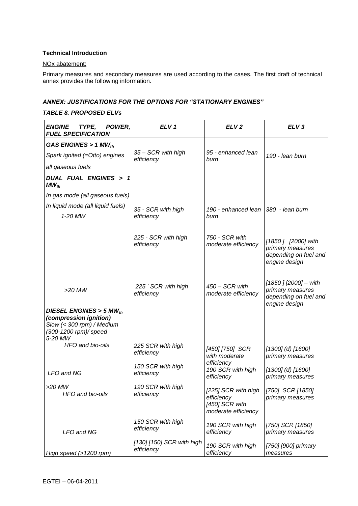#### **Technical Introduction**

#### NOx abatement:

Primary measures and secondary measures are used according to the cases. The first draft of technical annex provides the following information.

#### *ANNEX: JUSTIFICATIONS FOR THE OPTIONS FOR "STATIONARY ENGINES"*

#### *TABLE 8. PROPOSED ELVs*

| <b>ENGINE</b><br>TYPE,<br>POWER,<br><b>FUEL SPECIFICATION</b>                                                            | ELV <sub>1</sub>                        | ELV <sub>2</sub>                                                           | ELV <sub>3</sub>                                                                    |
|--------------------------------------------------------------------------------------------------------------------------|-----------------------------------------|----------------------------------------------------------------------------|-------------------------------------------------------------------------------------|
| GAS ENGINES > 1 MW $_{th}$                                                                                               |                                         |                                                                            |                                                                                     |
| Spark ignited (=Otto) engines                                                                                            | 35 - SCR with high<br>efficiency        | 95 - enhanced lean<br>burn                                                 | 190 - Iean burn                                                                     |
| all gaseous fuels                                                                                                        |                                         |                                                                            |                                                                                     |
| DUAL FUAL ENGINES > 1<br>$MW_{th}$                                                                                       |                                         |                                                                            |                                                                                     |
| In gas mode (all gaseous fuels)                                                                                          |                                         |                                                                            |                                                                                     |
| In liquid mode (all liquid fuels)                                                                                        |                                         | 190 - enhanced lean   380 - lean burn                                      |                                                                                     |
| 1-20 MW                                                                                                                  | 35 - SCR with high<br>efficiency        | burn                                                                       |                                                                                     |
|                                                                                                                          | 225 - SCR with high<br>efficiency       | 750 - SCR with<br>moderate efficiency                                      | [1850 ] [2000] with<br>primary measures<br>depending on fuel and<br>engine design   |
| $>20$ MW                                                                                                                 | 225 SCR with high<br>efficiency         | 450 - SCR with<br>moderate efficiency                                      | [1850 ] [2000] - with<br>primary measures<br>depending on fuel and<br>engine design |
| DIESEL ENGINES > 5 MW $_{th}$<br>(compression ignition)<br>Slow (< 300 rpm) / Medium<br>(300-1200 rpm)/ speed<br>5-20 MW |                                         |                                                                            |                                                                                     |
| HFO and bio-oils                                                                                                         | 225 SCR with high<br>efficiency         | [450] [750] SCR<br>with moderate                                           | $[1300]$ (d) $[1600]$<br>primary measures                                           |
| LFO and NG                                                                                                               | 150 SCR with high<br>efficiency         | efficiency<br>190 SCR with high<br>efficiency                              | $[1300]$ (d) $[1600]$<br>primary measures                                           |
| $>20$ MW<br>HFO and bio-oils                                                                                             | 190 SCR with high<br>efficiency         | [225] SCR with high<br>efficiency<br>[450] SCR with<br>moderate efficiency | [750] SCR [1850]<br>primary measures                                                |
| LFO and NG                                                                                                               | 150 SCR with high<br>efficiency         | 190 SCR with high<br>efficiency                                            | [750] SCR [1850]<br>primary measures                                                |
| High speed (>1200 rpm)                                                                                                   | [130] [150] SCR with high<br>efficiency | 190 SCR with high<br>efficiency                                            | [750] [900] primary<br>measures                                                     |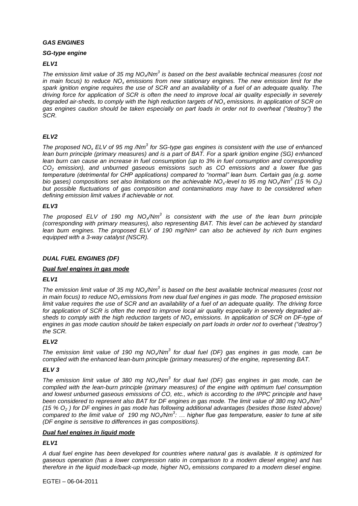#### *GAS ENGINES*

#### *SG-type engine*

#### *ELV1*

*The emission limit value of 35 mg NOx/Nm<sup>3</sup> is based on the best available technical measures (cost not in main focus) to reduce NOx emissions from new stationary engines. The new emission limit for the spark ignition engine requires the use of SCR and an availability of a fuel of an adequate quality. The driving force for application of SCR is often the need to improve local air quality especially in severely degraded air-sheds, to comply with the high reduction targets of NO<sup>x</sup> emissions. In application of SCR on gas engines caution should be taken especially on part loads in order not to overheat ("destroy") the SCR.*

#### *ELV2*

*The proposed NO<sup>x</sup> ELV of 95 mg /Nm<sup>3</sup> for SG-type gas engines is consistent with the use of enhanced lean burn principle (primary measures) and is a part of BAT. For a spark ignition engine (SG) enhanced lean burn can cause an increase in fuel consumption (up to 3% in fuel consumption and corresponding CO<sup>2</sup> emission), and unburned gaseous emissions such as CO emissions and a lower flue gas temperature (detrimental for CHP applications) compared to "normal" lean burn. Certain gas (e.g. some bio gases) compositions set also limitations on the achievable NOx-level to 95 mg NOx/Nm<sup>3</sup> (15 % O2) but possible fluctuations of gas composition and contaminations may have to be considered when defining emission limit values if achievable or not.* 

#### *ELV3*

*The proposed ELV of 190 mg NOx/Nm<sup>3</sup> is consistent with the use of the lean burn principle (corresponding with primary measures), also representing BAT. This level can be achieved by standard lean burn engines. The proposed ELV of 190 mg/Nm³ can also be achieved by rich burn engines equipped with a 3-way catalyst (NSCR).*

#### *DUAL FUEL ENGINES (DF)*

#### *Dual fuel engines in gas mode*

#### *ELV1*

*The emission limit value of 35 mg NOx/Nm<sup>3</sup> is based on the best available technical measures (cost not in main focus) to reduce NOx emissions from new dual fuel engines in gas mode. The proposed emission limit value requires the use of SCR and an availability of a fuel of an adequate quality. The driving force for application of SCR is often the need to improve local air quality especially in severely degraded airsheds to comply with the high reduction targets of NO<sup>x</sup> emissions. In application of SCR on DF-type of engines in gas mode caution should be taken especially on part loads in order not to overheat ("destroy") the SCR.* 

#### *ELV2*

*The emission limit value of 190 mg NOx/Nm<sup>3</sup> for dual fuel (DF) gas engines in gas mode, can be complied with the enhanced lean-burn principle (primary measures) of the engine, representing BAT.*

#### *ELV 3*

*The emission limit value of 380 mg NOx/Nm<sup>3</sup> for dual fuel (DF) gas engines in gas mode, can be complied with the lean-burn principle (primary measures) of the engine with optimum fuel consumption and lowest unburned gaseous emissions of CO, etc., which is according to the IPPC principle and have been considered to represent also BAT for DF engines in gas mode. The limit value of 380 mg NOx/Nm<sup>3</sup> (15 % O<sup>2</sup> ) for DF engines in gas mode has following additional advantages (besides those listed above) compared to the limit value of 190 mg NOx/Nm<sup>3</sup> : … higher flue gas temperature, easier to tune at site (DF engine is sensitive to differences in gas compositions).*

#### *Dual fuel engines in liquid mode*

#### *ELV1*

*A dual fuel engine has been developed for countries where natural gas is available. It is optimized for gaseous operation (has a lower compression ratio in comparison to a modern diesel engine) and has therefore in the liquid mode/back-up mode, higher NO<sup>x</sup> emissions compared to a modern diesel engine.*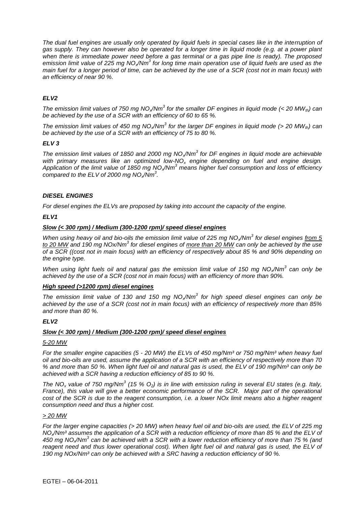*The dual fuel engines are usually only operated by liquid fuels in special cases like in the interruption of gas supply. They can however also be operated for a longer time in liquid mode (e.g. at a power plant when there is immediate power need before a gas terminal or a gas pipe line is ready). The proposed emission limit value of 225 mg NOx/Nm<sup>3</sup> for long time main operation use of liquid fuels are used as the main fuel for a longer period of time, can be achieved by the use of a SCR (cost not in main focus) with an efficiency of near 90 %.* 

#### *ELV2*

*The emission limit values of 750 mg NOx/Nm<sup>3</sup> for the smaller DF engines in liquid mode (< 20 MWth) can be achieved by the use of a SCR with an efficiency of 60 to 65 %.*

*The emission limit values of 450 mg NO<sub>x</sub>/Nm<sup>3</sup> for the larger DF engines in liquid mode (> 20 MW<sub>th</sub>) can be achieved by the use of a SCR with an efficiency of 75 to 80 %.*

#### *ELV 3*

*The emission limit values of 1850 and 2000 mg NOx/Nm<sup>3</sup> for DF engines in liquid mode are achievable with primary measures like an optimized low-NO<sup>x</sup> engine depending on fuel and engine design. Application of the limit value of 1850 mg NOx/Nm<sup>3</sup> means higher fuel consumption and loss of efficiency compared to the ELV of 2000 mg NOx/Nm<sup>3</sup> .* 

#### *DIESEL ENGINES*

*For diesel engines the ELVs are proposed by taking into account the capacity of the engine.*

#### *ELV1*

#### *Slow (< 300 rpm) / Medium (300-1200 rpm)/ speed diesel engines*

*When using heavy oil and bio-oils the emission limit value of 225 mg NOx/Nm<sup>3</sup> for diesel engines from 5*  to 20 MW and 190 mg NOx/Nm<sup>3</sup> for diesel engines of more than 20 MW can only be achieved by the use *of a SCR ((cost not in main focus) with an efficiency of respectively about 85 % and 90% depending on the engine type.* 

*When using light fuels oil and natural gas the emission limit value of 150 mg NO<sub>x</sub>/Nm<sup>3</sup> can only be achieved by the use of a SCR (cost not in main focus) with an efficiency of more than 90%.*

#### *High speed (>1200 rpm) diesel engines*

*The emission limit value of 130 and 150 mg NOx/Nm<sup>3</sup> for high speed diesel engines can only be achieved by the use of a SCR (cost not in main focus) with an efficiency of respectively more than 85% and more than 80 %.* 

#### *ELV2*

#### *Slow (< 300 rpm) / Medium (300-1200 rpm)/ speed diesel engines*

#### *5-20 MW*

*For the smaller engine capacities (5 - 20 MW) the ELVs of 450 mg/Nm³ or 750 mg/Nm³ when heavy fuel oil and bio-oils are used, assume the application of a SCR with an efficiency of respectively more than 70 % and more than 50 %. When light fuel oil and natural gas is used, the ELV of 190 mg/Nm³ can only be achieved with a SCR having a reduction efficiency of 85 to 90 %.*

*The NO<sup>x</sup> value of 750 mg/Nm<sup>3</sup> (15 % O2) is in line with emission ruling in several EU states (e.g. Italy, France), this value will give a better economic performance of the SCR. Major part of the operational cost of the SCR is due to the reagent consumption, i.e. a lower NOx limit means also a higher reagent consumption need and thus a higher cost.*

#### *> 20 MW*

*For the larger engine capacities (> 20 MW) when heavy fuel oil and bio-oils are used, the ELV of 225 mg NOx/Nm³ assumes the application of a SCR with a reduction efficiency of more than 85 % and the ELV of 450 mg NOx/Nm<sup>3</sup> can be achieved with a SCR with a lower reduction efficiency of more than 75 % (and*  reagent need and thus lower operational cost). When light fuel oil and natural gas is used, the ELV of *190 mg NOx/Nm³ can only be achieved with a SRC having a reduction efficiency of 90 %.*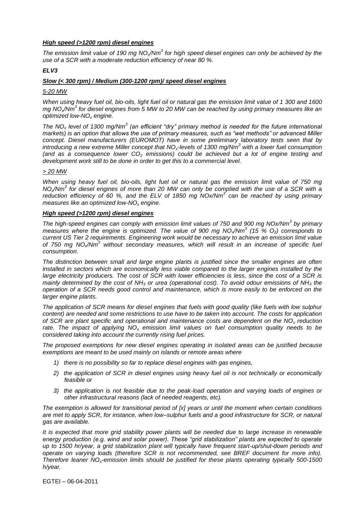#### *High speed (>1200 rpm) diesel engines*

*The emission limit value of 190 mg NOx/Nm<sup>3</sup> for high speed diesel engines can only be achieved by the use of a SCR with a moderate reduction efficiency of near 80 %.*

#### *ELV3*

#### *Slow (< 300 rpm) / Medium (300-1200 rpm)/ speed diesel engines*

#### *5-20 MW*

*When using heavy fuel oil, bio-oils, light fuel oil or natural gas the emission limit value of 1 300 and 1600 mg NOx/Nm<sup>3</sup> for diesel engines from 5 MW to 20 MW can be reached by using primary measures like an optimized low-NO<sup>x</sup> engine.* 

*The NO<sup>x</sup> level of 1300 mg/Nm<sup>3</sup> (an efficient "dry" primary method is needed for the future international markets) is an option that allows the use of primary measures, such as "wet methods" or advanced Miller concept. Diesel manufacturers (EUROMOT) have in some preliminary laboratory tests seen that by introducing a new extreme Miller concept that NOx-levels of 1300 mg/Nm<sup>3</sup> with a lower fuel consumption (and as a consequence lower CO<sup>2</sup> emissions) could be achieved but a lot of engine testing and development work still to be done in order to get this to a commercial level.* 

#### *> 20 MW*

*When using heavy fuel oil, bio-oils, light fuel oil or natural gas the emission limit value of 750 mg NOx/Nm<sup>3</sup> for diesel engines of more than 20 MW can only be complied with the use of a SCR with a reduction efficiency of 60 %, and the ELV of 1850 mg NOx/Nm<sup>3</sup> can be reached by using primary measures like an optimized low-NO<sup>x</sup> engine.* 

#### *High speed (>1200 rpm) diesel engines*

*The high-speed engines can comply with emission limit values of 750 and 900 mg NOx/Nm<sup>3</sup> by primary measures where the engine is optimized. The value of 900 mg NOx/Nm<sup>3</sup> (15 % O2) corresponds to current US Tier 2 requirements. Engineering work would be necessary to achieve an emission limit value of 750 mg NOx/Nm<sup>3</sup> without secondary measures, which will result in an increase of specific fuel consumption.*

*The distinction between small and large engine plants is justified since the smaller engines are often*  installed in sectors which are economically less viable compared to the larger engines installed by the *large electricity producers. The cost of SCR with lower efficiencies is less, since the cost of a SCR is mainly determined by the cost of NH<sup>3</sup> or urea (operational cost). To avoid odour emissions of NH<sup>3</sup> the operation of a SCR needs good control and maintenance, which is more easily to be enforced on the larger engine plants.*

*The application of SCR means for diesel engines that fuels with good quality (like fuels with low sulphur content) are needed and some restrictions to use have to be taken into account. The costs for application of SCR are plant specific and operational and maintenance costs are dependent on the NO<sup>x</sup> reduction rate. The impact of applying NO<sup>x</sup> emission limit values on fuel consumption quality needs to be considered taking into account the currently rising fuel prices.* 

*The proposed exemptions for new diesel engines operating in isolated areas can be justified because exemptions are meant to be used mainly on islands or remote areas where*

- *1) there is no possibility so far to replace diesel engines with gas engines,*
- *2) the application of SCR in diesel engines using heavy fuel oil is not technically or economically feasible or*
- *3) the application is not feasible due to the peak-load operation and varying loads of engines or other infrastructural reasons (lack of needed reagents, etc).*

*The exemption is allowed for transitional period of [x] years or until the moment when certain conditions are met to apply SCR, for instance, when low–sulphur fuels and a good infrastructure for SCR, or natural gas are available.*

*It is expected that more grid stability power plants will be needed due to large increase in renewable energy production (e.g. wind and solar power). These "grid stabilization" plants are expected to operate up to 1500 hr/year, a grid stabilization plant will typically have frequent start-up/shut-down periods and operate on varying loads (therefore SCR is not recommended, see BREF document for more info). Therefore leaner NOx-emission limits should be justified for these plants operating typically 500-1500 h/year.*

EGTEI – 06-04-2011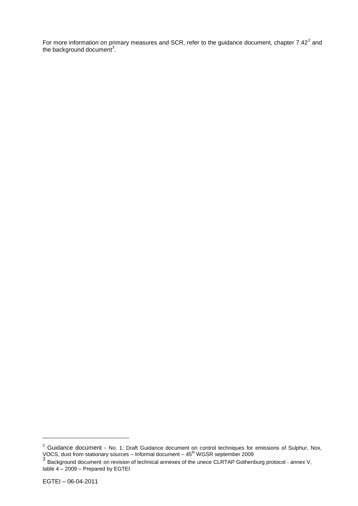For more information on primary measures and SCR, refer to the guidance document, chapter 7.42<sup>2</sup> and the background document<sup>3</sup>.

l

 $2$  Guidance document - No. 1: Draft Guidance document on control techniques for emissions of Sulphur, Nox, VOCS, dust from stationary sources – Informal document – 45<sup>th</sup> WGSR september 2009<br><sup>3</sup> Background document on revision of technical annexes of the unece CLRTAP Gothenburg protocol - annex V,

table 4 – 2009 – Prepared by EGTEI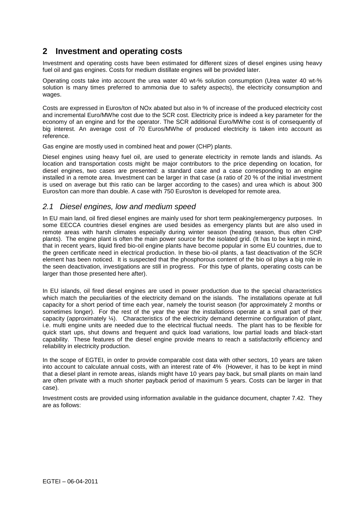## **2 Investment and operating costs**

Investment and operating costs have been estimated for different sizes of diesel engines using heavy fuel oil and gas engines. Costs for medium distillate engines will be provided later.

Operating costs take into account the urea water 40 wt-% solution consumption (Urea water 40 wt-% solution is many times preferred to ammonia due to safety aspects), the electricity consumption and wages.

Costs are expressed in Euros/ton of NOx abated but also in % of increase of the produced electricity cost and incremental Euro/MWhe cost due to the SCR cost. Electricity price is indeed a key parameter for the economy of an engine and for the operator. The SCR additional Euro/MWhe cost is of consequently of big interest. An average cost of 70 Euros/MWhe of produced electricity is taken into account as reference.

Gas engine are mostly used in combined heat and power (CHP) plants.

Diesel engines using heavy fuel oil, are used to generate electricity in remote lands and islands. As location and transportation costs might be major contributors to the price depending on location, for diesel engines, two cases are presented: a standard case and a case corresponding to an engine installed in a remote area. Investment can be larger in that case (a ratio of 20 % of the initial investment is used on average but this ratio can be larger according to the cases) and urea which is about 300 Euros/ton can more than double. A case with 750 Euros/ton is developed for remote area.

#### *2.1 Diesel engines, low and medium speed*

In EU main land, oil fired diesel engines are mainly used for short term peaking/emergency purposes. In some EECCA countries diesel engines are used besides as emergency plants but are also used in remote areas with harsh climates especially during winter season (heating season, thus often CHP plants). The engine plant is often the main power source for the isolated grid. (It has to be kept in mind, that in recent years, liquid fired bio-oil engine plants have become popular in some EU countries, due to the green certificate need in electrical production. In these bio-oil plants, a fast deactivation of the SCR element has been noticed. It is suspected that the phosphorous content of the bio oil plays a big role in the seen deactivation, investigations are still in progress. For this type of plants, operating costs can be larger than those presented here after).

In EU islands, oil fired diesel engines are used in power production due to the special characteristics which match the peculiarities of the electricity demand on the islands. The installations operate at full capacity for a short period of time each year, namely the tourist season (for approximately 2 months or sometimes longer). For the rest of the year the year the installations operate at a small part of their capacity (approximately ¼). Characteristics of the electricity demand determine configuration of plant, i.e. multi engine units are needed due to the electrical fluctual needs. The plant has to be flexible for quick start ups, shut downs and frequent and quick load variations, low partial loads and black-start capability. These features of the diesel engine provide means to reach a satisfactorily efficiency and reliability in electricity production.

In the scope of EGTEI, in order to provide comparable cost data with other sectors, 10 years are taken into account to calculate annual costs, with an interest rate of 4% (However, it has to be kept in mind that a diesel plant in remote areas, islands might have 10 years pay back, but small plants on main land are often private with a much shorter payback period of maximum 5 years. Costs can be larger in that case).

Investment costs are provided using information available in the guidance document, chapter 7.42. They are as follows: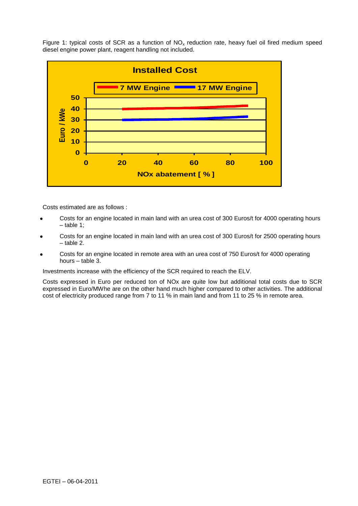Figure 1: typical costs of SCR as a function of  $NO<sub>x</sub>$  reduction rate, heavy fuel oil fired medium speed diesel engine power plant, reagent handling not included.



Costs estimated are as follows :

- Costs for an engine located in main land with an urea cost of 300 Euros/t for 4000 operating hours – table 1;
- Costs for an engine located in main land with an urea cost of 300 Euros/t for 2500 operating hours – table 2.
- Costs for an engine located in remote area with an urea cost of 750 Euros/t for 4000 operating hours – table 3.

Investments increase with the efficiency of the SCR required to reach the ELV.

Costs expressed in Euro per reduced ton of NOx are quite low but additional total costs due to SCR expressed in Euro/MWhe are on the other hand much higher compared to other activities. The additional cost of electricity produced range from 7 to 11 % in main land and from 11 to 25 % in remote area.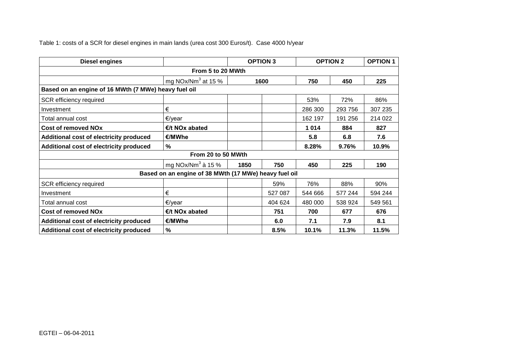Table 1: costs of a SCR for diesel engines in main lands (urea cost 300 Euros/t). Case 4000 h/year

| <b>Diesel engines</b>                                    |                                |      | <b>OPTION 3</b> |         | <b>OPTION 2</b> | <b>OPTION 1</b> |  |
|----------------------------------------------------------|--------------------------------|------|-----------------|---------|-----------------|-----------------|--|
| From 5 to 20 MWth                                        |                                |      |                 |         |                 |                 |  |
|                                                          | mg NOx/Nm <sup>3</sup> at 15 % | 1600 |                 | 750     | 450             | 225             |  |
| Based on an engine of 16 MWth (7 MWe) heavy fuel oil     |                                |      |                 |         |                 |                 |  |
| SCR efficiency required                                  |                                |      |                 | 53%     | 72%             | 86%             |  |
| Investment                                               | €                              |      |                 | 286 300 | 293 756         | 307 235         |  |
| Total annual cost                                        | €/year                         |      |                 | 162 197 | 191 256         | 214 022         |  |
| <b>Cost of removed NOx</b>                               | $E/t$ NO <sub>x</sub> abated   |      |                 | 1014    | 884             | 827             |  |
| Additional cost of electricity produced                  | €/MWhe                         |      |                 | 5.8     | 6.8             | 7.6             |  |
| Additional cost of electricity produced                  | %                              |      |                 | 8.28%   | 9.76%           | 10.9%           |  |
|                                                          | From 20 to 50 MWth             |      |                 |         |                 |                 |  |
| mg NOx/Nm $3$ à 15 %<br>750<br>225<br>1850<br>450<br>190 |                                |      |                 |         |                 |                 |  |
| Based on an engine of 38 MWth (17 MWe) heavy fuel oil    |                                |      |                 |         |                 |                 |  |
| SCR efficiency required                                  |                                |      | 59%             | 76%     | 88%             | 90%             |  |
| Investment                                               | €                              |      | 527 087         | 544 666 | 577 244         | 594 244         |  |
| Total annual cost                                        | €/year                         |      | 404 624         | 480 000 | 538 924         | 549 561         |  |
| <b>Cost of removed NOx</b>                               | $E/t$ NO <sub>x</sub> abated   |      | 751             | 700     | 677             | 676             |  |
| Additional cost of electricity produced                  | €/MWhe                         |      | 6.0             | 7.1     | 7.9             | 8.1             |  |
| Additional cost of electricity produced                  | %                              |      | 8.5%            | 10.1%   | 11.3%           | 11.5%           |  |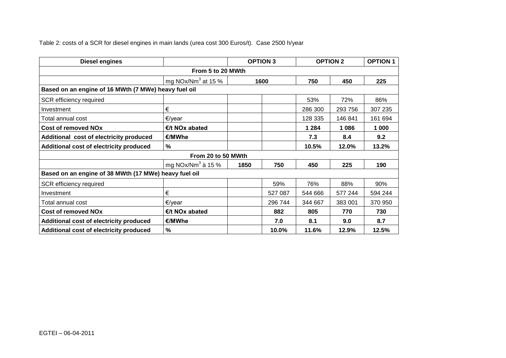Table 2: costs of a SCR for diesel engines in main lands (urea cost 300 Euros/t). Case 2500 h/year

| <b>Diesel engines</b>                                 |                                |      | <b>OPTION 3</b> |         | <b>OPTION 2</b> | <b>OPTION 1</b> |  |
|-------------------------------------------------------|--------------------------------|------|-----------------|---------|-----------------|-----------------|--|
| From 5 to 20 MWth                                     |                                |      |                 |         |                 |                 |  |
|                                                       | mg NOx/Nm <sup>3</sup> at 15 % | 1600 |                 | 750     | 450             | 225             |  |
| Based on an engine of 16 MWth (7 MWe) heavy fuel oil  |                                |      |                 |         |                 |                 |  |
| SCR efficiency required                               |                                |      |                 | 53%     | 72%             | 86%             |  |
| Investment                                            | €                              |      |                 | 286 300 | 293 756         | 307 235         |  |
| Total annual cost                                     | €/year                         |      |                 | 128 335 | 146 841         | 161 694         |  |
| <b>Cost of removed NOx</b>                            | $E/t$ NO <sub>x</sub> abated   |      |                 | 1 2 8 4 | 1086            | 1 000           |  |
| Additional cost of electricity produced               | €/MWhe                         |      |                 | 7.3     | 8.4             | 9.2             |  |
| Additional cost of electricity produced               | %                              |      |                 | 10.5%   | 12.0%           | 13.2%           |  |
|                                                       | From 20 to 50 MWth             |      |                 |         |                 |                 |  |
|                                                       | mg NOx/Nm <sup>3</sup> à 15 %  | 1850 | 750             | 450     | 225             | 190             |  |
| Based on an engine of 38 MWth (17 MWe) heavy fuel oil |                                |      |                 |         |                 |                 |  |
| SCR efficiency required                               |                                |      | 59%             | 76%     | 88%             | 90%             |  |
| Investment                                            | €                              |      | 527 087         | 544 666 | 577 244         | 594 244         |  |
| Total annual cost                                     | €/year                         |      | 296 744         | 344 667 | 383 001         | 370 950         |  |
| <b>Cost of removed NOx</b>                            | $E/t$ NO <sub>x</sub> abated   |      | 882             | 805     | 770             | 730             |  |
| Additional cost of electricity produced               | €/MWhe                         |      | 7.0             | 8.1     | 9.0             | 8.7             |  |
| Additional cost of electricity produced               | %                              |      | 10.0%           | 11.6%   | 12.9%           | 12.5%           |  |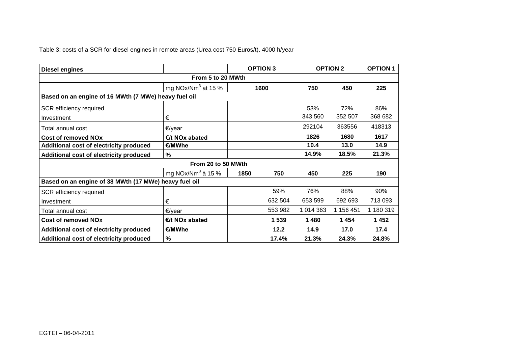Table 3: costs of a SCR for diesel engines in remote areas (Urea cost 750 Euros/t). 4000 h/year

| <b>Diesel engines</b>                                 |                                | <b>OPTION 3</b> |         | <b>OPTION 2</b> |           | <b>OPTION 1</b> |
|-------------------------------------------------------|--------------------------------|-----------------|---------|-----------------|-----------|-----------------|
|                                                       | From 5 to 20 MWth              |                 |         |                 |           |                 |
|                                                       | mg NOx/Nm <sup>3</sup> at 15 % | 1600            |         | 750             | 450       | 225             |
| Based on an engine of 16 MWth (7 MWe) heavy fuel oil  |                                |                 |         |                 |           |                 |
| SCR efficiency required                               |                                |                 |         | 53%             | 72%       | 86%             |
| Investment                                            | €                              |                 |         | 343 560         | 352 507   | 368 682         |
| Total annual cost                                     | €/year                         |                 |         | 292104          | 363556    | 418313          |
| <b>Cost of removed NOx</b>                            | $E/t$ NO <sub>x</sub> abated   |                 |         | 1826            | 1680      | 1617            |
| Additional cost of electricity produced               | €/MWhe                         |                 |         | 10.4            | 13.0      | 14.9            |
| Additional cost of electricity produced               | %                              |                 |         | 14.9%           | 18.5%     | 21.3%           |
|                                                       | From 20 to 50 MWth             |                 |         |                 |           |                 |
|                                                       | mg NOx/Nm <sup>3</sup> à 15 %  | 1850            | 750     | 450             | 225       | 190             |
| Based on an engine of 38 MWth (17 MWe) heavy fuel oil |                                |                 |         |                 |           |                 |
| SCR efficiency required                               |                                |                 | 59%     | 76%             | 88%       | 90%             |
| Investment                                            | €                              |                 | 632 504 | 653 599         | 692 693   | 713 093         |
| Total annual cost                                     | €/year                         |                 | 553 982 | 1 014 363       | 1 156 451 | 1 180 319       |
| <b>Cost of removed NOx</b>                            | €/t NOx abated                 |                 | 1 5 3 9 | 1480            | 1454      | 1452            |
| Additional cost of electricity produced               | €/MWhe                         |                 | 12.2    | 14.9            | 17.0      | 17.4            |
| Additional cost of electricity produced               | %                              |                 | 17.4%   | 21.3%           | 24.3%     | 24.8%           |